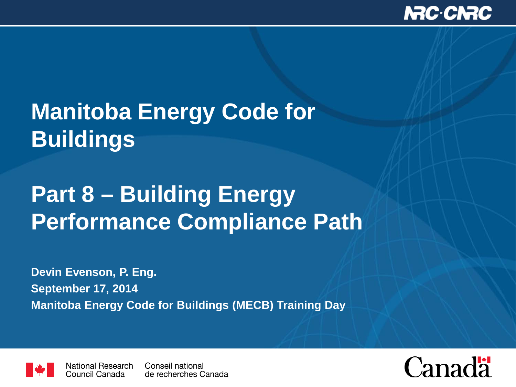# **Manitoba Energy Code for Buildings**

# **Part 8 – Building Energy Performance Compliance Path**

**Devin Evenson, P. Eng. September 17, 2014 Manitoba Energy Code for Buildings (MECB) Training Day** 



National Research Conseil national Council Canada de recherches Canada

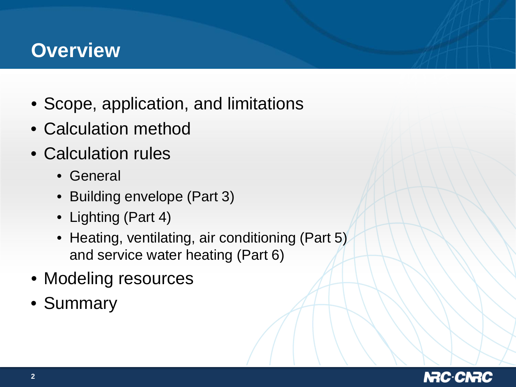#### **Overview**

- Scope, application, and limitations
- Calculation method
- Calculation rules
	- General
	- Building envelope (Part 3)
	- Lighting (Part 4)
	- Heating, ventilating, air conditioning (Part 5) and service water heating (Part 6)
- Modeling resources
- Summary

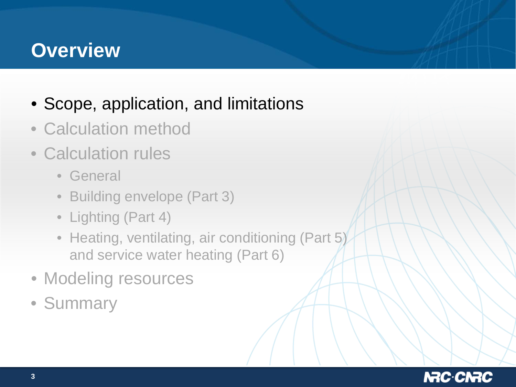#### **Overview**

- Scope, application, and limitations
- Calculation method
- Calculation rules
	- General
	- Building envelope (Part 3)
	- Lighting (Part 4)
	- Heating, ventilating, air conditioning (Part 5) and service water heating (Part 6)
- Modeling resources
- Summary

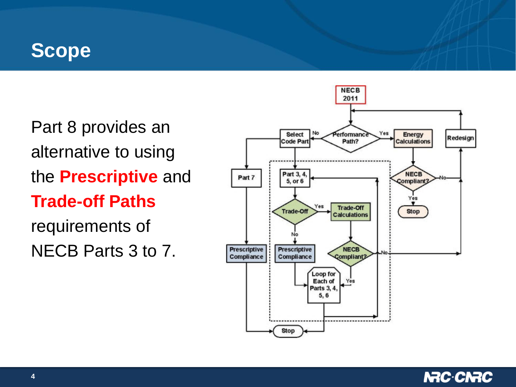## **Scope**

Part 8 provides an alternative to using the **Prescriptive** and **Trade-off Paths**  requirements of NECB Parts 3 to 7.



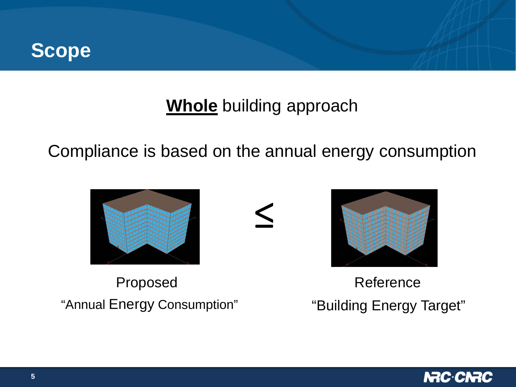

#### **Whole** building approach

Compliance is based on the annual energy consumption



≤



Proposed Reference "Annual Energy Consumption" "Building Energy Target"

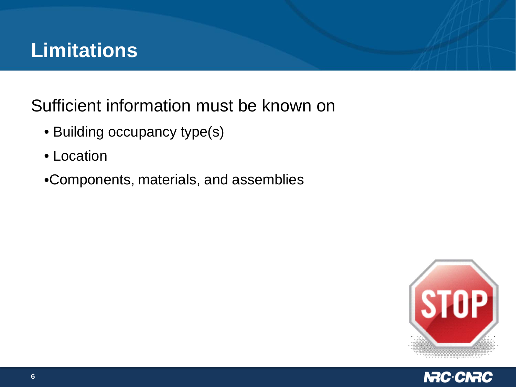# **Limitations**

Sufficient information must be known on

- Building occupancy type(s)
- Location
- •Components, materials, and assemblies



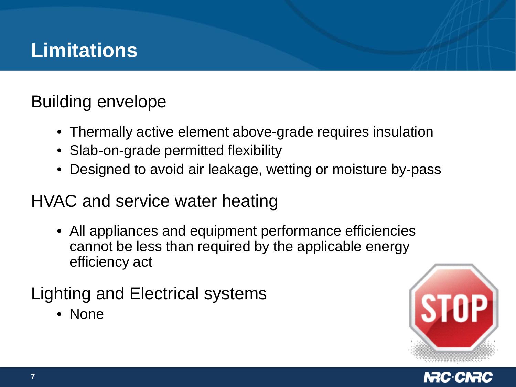# **Limitations**

#### Building envelope

- Thermally active element above-grade requires insulation
- Slab-on-grade permitted flexibility
- Designed to avoid air leakage, wetting or moisture by-pass

#### HVAC and service water heating

• All appliances and equipment performance efficiencies cannot be less than required by the applicable energy efficiency act

#### Lighting and Electrical systems

• None



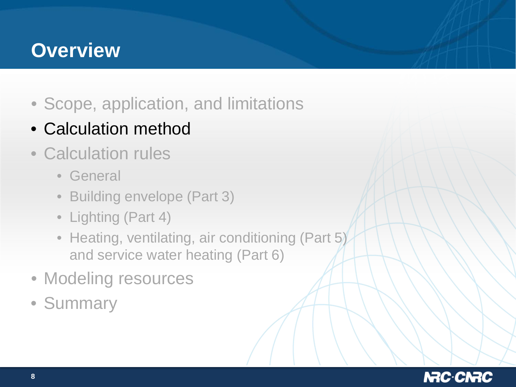### **Overview**

- Scope, application, and limitations
- Calculation method
- Calculation rules
	- General
	- Building envelope (Part 3)
	- Lighting (Part 4)
	- Heating, ventilating, air conditioning (Part 5) and service water heating (Part 6)
- Modeling resources
- Summary

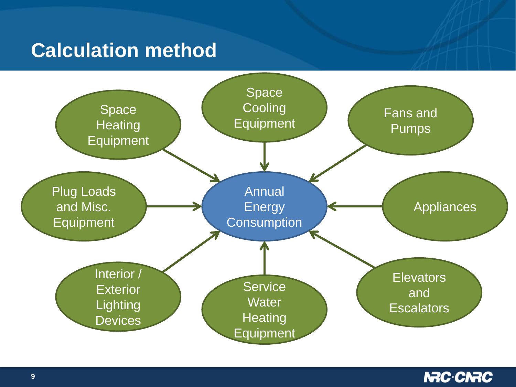

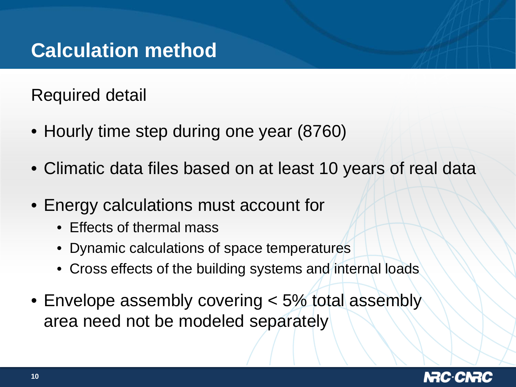Required detail

- Hourly time step during one year (8760)
- Climatic data files based on at least 10 years of real data
- Energy calculations must account for
	- Effects of thermal mass
	- Dynamic calculations of space temperatures
	- Cross effects of the building systems and internal loads
- Envelope assembly covering < 5% total assembly area need not be modeled separately

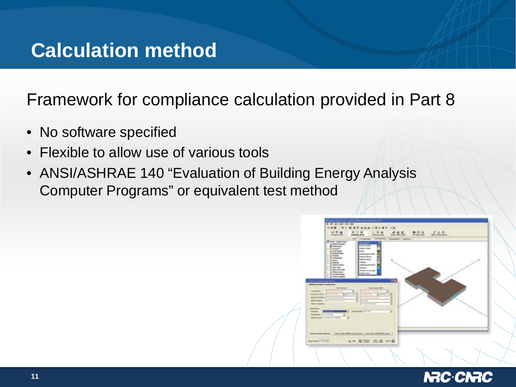Framework for compliance calculation provided in Part 8

- No software specified
- Flexible to allow use of various tools
- ANSI/ASHRAE 140 "Evaluation of Building Energy Analysis Computer Programs" or equivalent test method

| Theat Targethan<br>La Sina Texasteri<br><b>B</b> Raldray Lake<br>IT Breakfill<br><b>Cal Fred Brade</b><br>La Kalifa Stales<br>12 Gallengeen<br>In Ga handcustoria                                                                        | J.R. (Glassey, 10 Street) Smaking   Sympa  <br><b>Enlarge Model</b><br>Impire Bally<br><b>Bluester</b><br><b>Embrigational State</b><br><b>Edwin Road</b><br><b>Schedule Players</b> | <b>An ISM PART</b><br><b>Braker Avas Florid  </b> | 7.6.5 |                             |
|------------------------------------------------------------------------------------------------------------------------------------------------------------------------------------------------------------------------------------------|--------------------------------------------------------------------------------------------------------------------------------------------------------------------------------------|---------------------------------------------------|-------|-----------------------------|
| 14 La tamen<br>11 January 11<br><b>La traitiquation</b><br>of the films have<br>4 Ca Man York Color<br>- La Impierizzati<br>IF GLASSATIONAL<br>A 22 Model Schools<br>III is housed three House.<br><b>Building Foreigns Leading Read</b> | <b>California</b><br>chairpland Fourt<br>worskins.<br><b>Mexico</b> Exertange<br><b>Antoine Ford</b>                                                                                 | 75                                                |       | $\mathcal{P}^{\mathcal{R}}$ |
| <b>Boat Surfaces</b><br><b>Conductor</b><br><b>BARBATONY</b><br>Edwin Husban, 2 of Journald Inchesor<br><b>STAR In Millery</b><br><b>BRT Doubler</b><br><b>Trento</b> Excepts<br><b>Blazza Mage</b>                                      | <b>Box 5x8 5x8</b><br><b>B</b> Brook and B<br>$-2.7-$<br><br><b>STATIST</b><br>of backwatch                                                                                          | - -<br>۷                                          |       |                             |
| <b>Banker</b><br>EXHIBITE 2-A FEMALE<br><b>Entertained</b> concerns control                                                                                                                                                              | 10 Important Court St.                                                                                                                                                               | ×                                                 |       |                             |
|                                                                                                                                                                                                                                          | Annual chief fightions  Note 429 (797) (all of pixs 2 (20)-230 (797) (Red pixs  ]                                                                                                    |                                                   |       |                             |

#### IN C-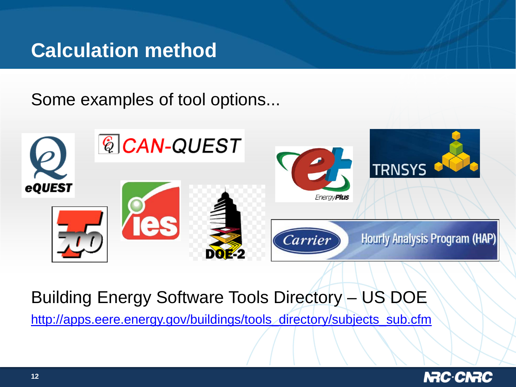Some examples of tool options...



#### Building Energy Software Tools Directory – US DOE

http://apps.eere.energy.gov/buildings/tools\_directory/subjects\_sub.cfm

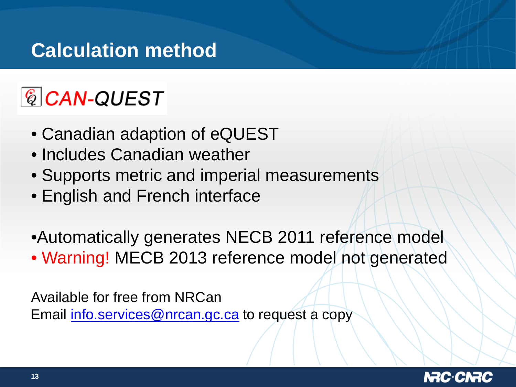# *CAN-QUEST*

- Canadian adaption of eQUEST
- Includes Canadian weather
- Supports metric and imperial measurements
- English and French interface
- •Automatically generates NECB 2011 reference model
- Warning! MECB 2013 reference model not generated

Available for free from NRCan Email [info.services@nrcan.gc.ca](mailto:info.services@nrcan.gc.ca) to request a copy

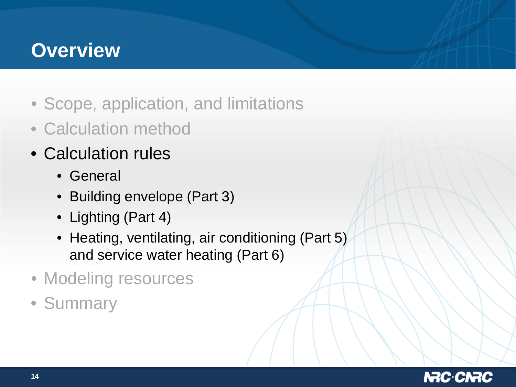### **Overview**

- Scope, application, and limitations
- Calculation method
- Calculation rules
	- General
	- Building envelope (Part 3)
	- Lighting (Part 4)
	- Heating, ventilating, air conditioning (Part 5) and service water heating (Part 6)
- Modeling resources
- Summary

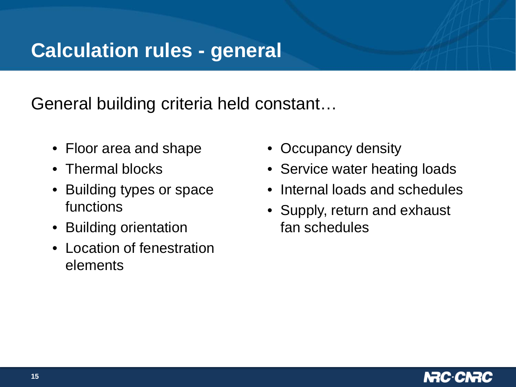## **Calculation rules - general**

General building criteria held constant…

- Floor area and shape
- Thermal blocks
- Building types or space functions
- Building orientation
- Location of fenestration elements
- Occupancy density
- Service water heating loads
- Internal loads and schedules
- Supply, return and exhaust fan schedules

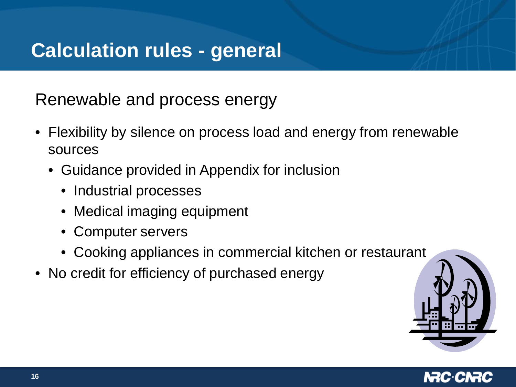## **Calculation rules - general**

Renewable and process energy

- Flexibility by silence on process load and energy from renewable sources
	- Guidance provided in Appendix for inclusion
		- Industrial processes
		- Medical imaging equipment
		- Computer servers
		- Cooking appliances in commercial kitchen or restaurant
- No credit for efficiency of purchased energy



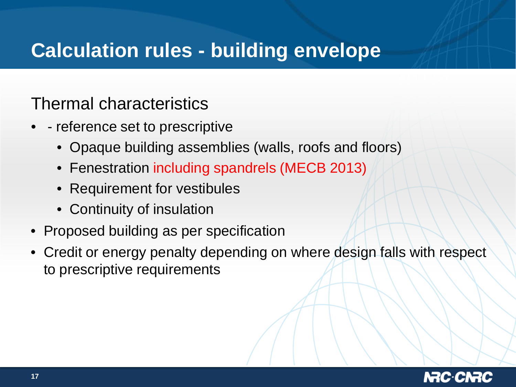#### Thermal characteristics

- - reference set to prescriptive
	- Opaque building assemblies (walls, roofs and floors)
	- Fenestration including spandrels (MECB 2013)
	- Requirement for vestibules
	- Continuity of insulation
- Proposed building as per specification
- Credit or energy penalty depending on where design falls with respect to prescriptive requirements

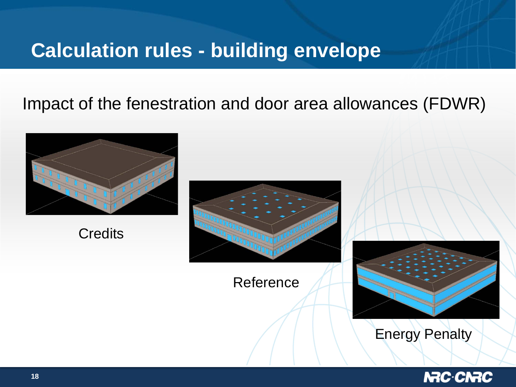#### Impact of the fenestration and door area allowances (FDWR)



#### **NRC-CNRC**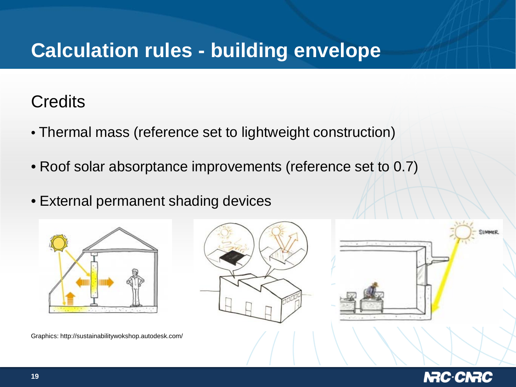#### **Credits**

- Thermal mass (reference set to lightweight construction)
- Roof solar absorptance improvements (reference set to 0.7)
- External permanent shading devices









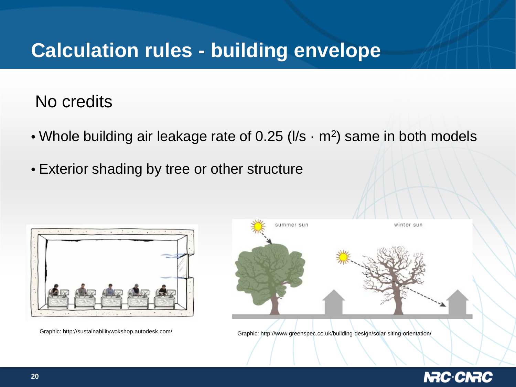#### No credits

- Whole building air leakage rate of 0.25 ( $I/s \cdot m^2$ ) same in both models
- Exterior shading by tree or other structure



Graphic: http://sustainabilitywokshop.autodesk.com/



Graphic: http://www.greenspec.co.uk/building-design/solar-siting-orientation/

#### **NAC-CNAC**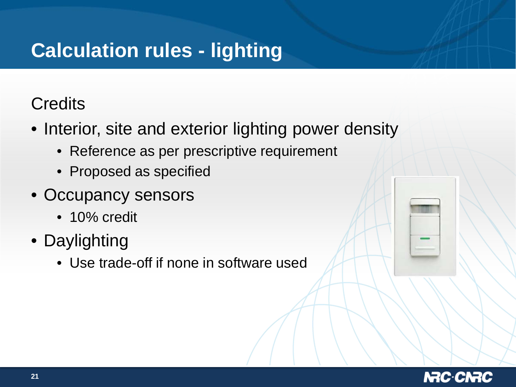# **Calculation rules - lighting**

#### **Credits**

- Interior, site and exterior lighting power density
	- Reference as per prescriptive requirement
	- Proposed as specified
- Occupancy sensors
	- 10% credit
- Daylighting
	- Use trade-off if none in software used

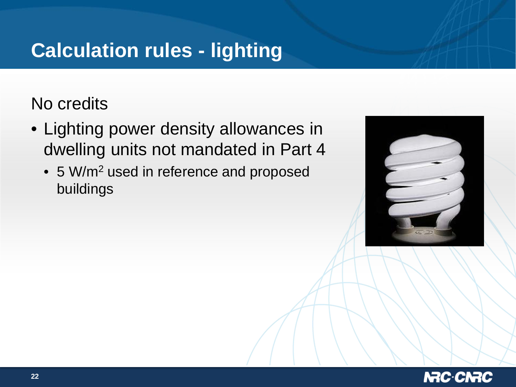# **Calculation rules - lighting**

#### No credits

- Lighting power density allowances in dwelling units not mandated in Part 4
	- 5 W/m<sup>2</sup> used in reference and proposed buildings



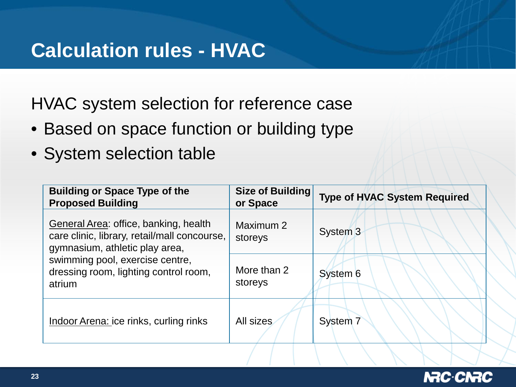HVAC system selection for reference case

- Based on space function or building type
- System selection table

| <b>Building or Space Type of the</b><br><b>Proposed Building</b>                                                        | Size of Building<br>or Space | <b>Type of HVAC System Required</b> |
|-------------------------------------------------------------------------------------------------------------------------|------------------------------|-------------------------------------|
| General Area: office, banking, health<br>care clinic, library, retail/mall concourse,<br>gymnasium, athletic play area, | Maximum 2<br>storeys         | System <sub>3</sub>                 |
| swimming pool, exercise centre,<br>dressing room, lighting control room,<br>atrium                                      | More than 2<br>storeys       | System <sub>6</sub>                 |
| Indoor Arena: ice rinks, curling rinks                                                                                  | All sizes                    | System 7                            |

#### **NRC-CNRC**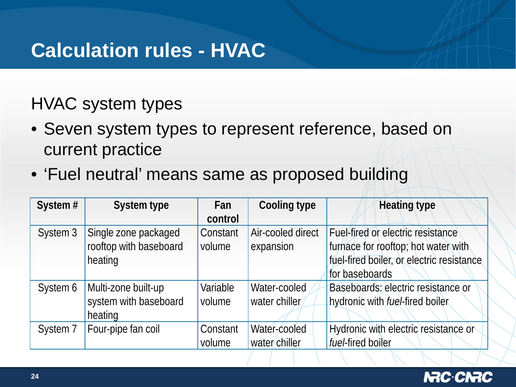#### HVAC system types

- Seven system types to represent reference, based on current practice
- 'Fuel neutral' means same as proposed building

| System#  | <b>System type</b>     | Fan      | <b>Cooling type</b> | <b>Heating type</b>                       |
|----------|------------------------|----------|---------------------|-------------------------------------------|
|          |                        | control  |                     |                                           |
| System 3 | Single zone packaged   | Constant | Air-cooled direct   | Fuel-fired or electric resistance         |
|          | rooftop with baseboard | volume   | expansion           | furnace for rooftop; hot water with       |
|          | heating                |          |                     | fuel-fired boiler, or electric resistance |
|          |                        |          |                     | for baseboards                            |
| System 6 | Multi-zone built-up    | Variable | Water-cooled        | Baseboards: electric resistance or        |
|          | system with baseboard  | volume   | water chiller       | hydronic with fuel-fired boiler           |
|          | heating                |          |                     |                                           |
| System 7 | Four-pipe fan coil     | Constant | Water-cooled        | Hydronic with electric resistance or      |
|          |                        | volume   | water chiller       | fuel-fired boiler                         |

#### **NRC-C**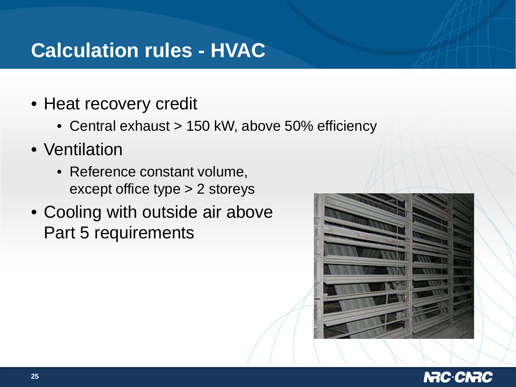- Heat recovery credit
	- Central exhaust > 150 kW, above 50% efficiency
- Ventilation
	- Reference constant volume, except office type > 2 storeys
- Cooling with outside air above Part 5 requirements



#### **NRC-CNRC**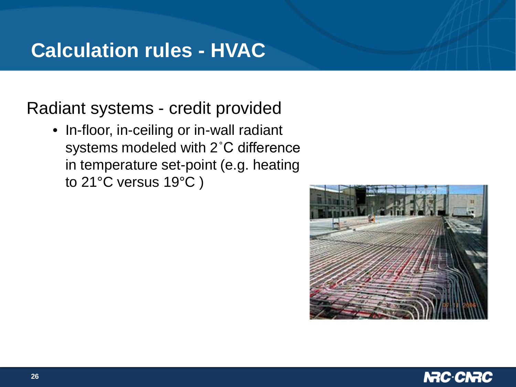Radiant systems - credit provided

• In-floor, in-ceiling or in-wall radiant systems modeled with 2˚C difference in temperature set-point (e.g. heating to 21°C versus 19°C )



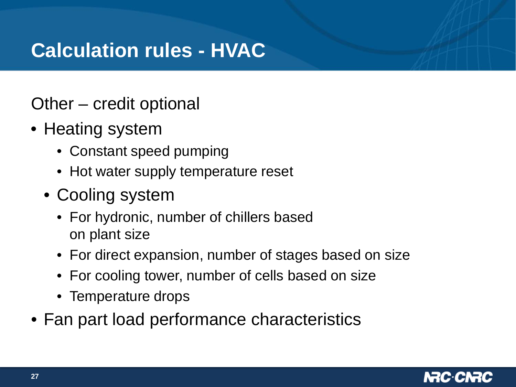Other – credit optional

- Heating system
	- Constant speed pumping
	- Hot water supply temperature reset
	- Cooling system
		- For hydronic, number of chillers based on plant size
		- For direct expansion, number of stages based on size
		- For cooling tower, number of cells based on size
		- Temperature drops
- Fan part load performance characteristics

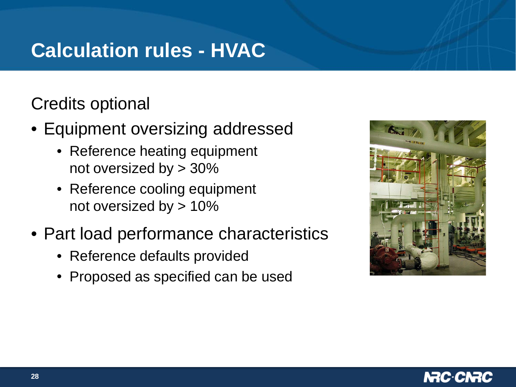Credits optional

- Equipment oversizing addressed
	- Reference heating equipment not oversized by > 30%
	- Reference cooling equipment not oversized by > 10%
- Part load performance characteristics
	- Reference defaults provided
	- Proposed as specified can be used



#### N.C.CN.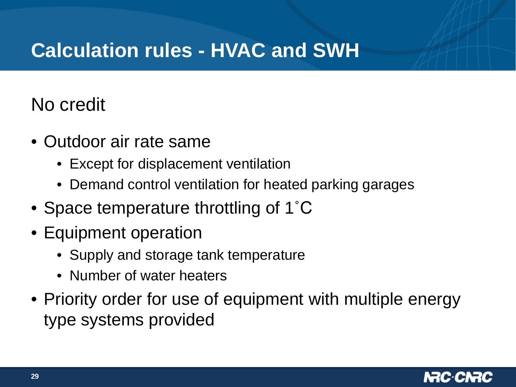## **Calculation rules - HVAC and SWH**

#### No credit

- Outdoor air rate same
	- Except for displacement ventilation
	- Demand control ventilation for heated parking garages
- Space temperature throttling of 1°C
- Equipment operation
	- Supply and storage tank temperature
	- Number of water heaters
- Priority order for use of equipment with multiple energy type systems provided

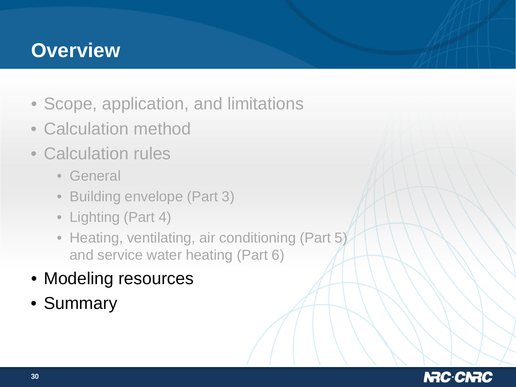### **Overview**

- Scope, application, and limitations
- Calculation method
- Calculation rules
	- General
	- Building envelope (Part 3)
	- Lighting (Part 4)
	- Heating, ventilating, air conditioning (Part 5) and service water heating (Part 6)
- Modeling resources
- Summary

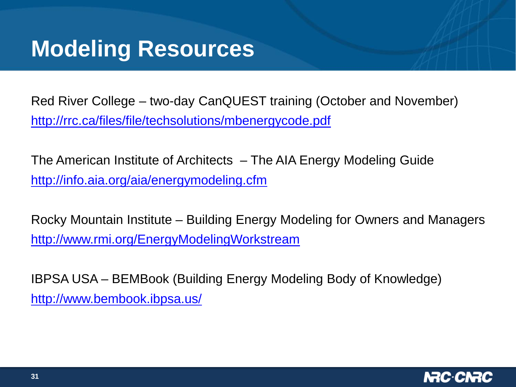# **Modeling Resources**

Red River College – two-day CanQUEST training (October and November) <http://rrc.ca/files/file/techsolutions/mbenergycode.pdf>

The American Institute of Architects – The AIA Energy Modeling Guide <http://info.aia.org/aia/energymodeling.cfm>

Rocky Mountain Institute – Building Energy Modeling for Owners and Managers <http://www.rmi.org/EnergyModelingWorkstream>

IBPSA USA – BEMBook (Building Energy Modeling Body of Knowledge) <http://www.bembook.ibpsa.us/>

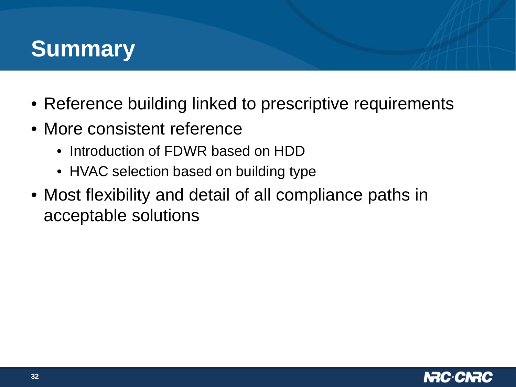# **Summary**

- Reference building linked to prescriptive requirements
- More consistent reference
	- Introduction of FDWR based on HDD
	- HVAC selection based on building type
- Most flexibility and detail of all compliance paths in acceptable solutions